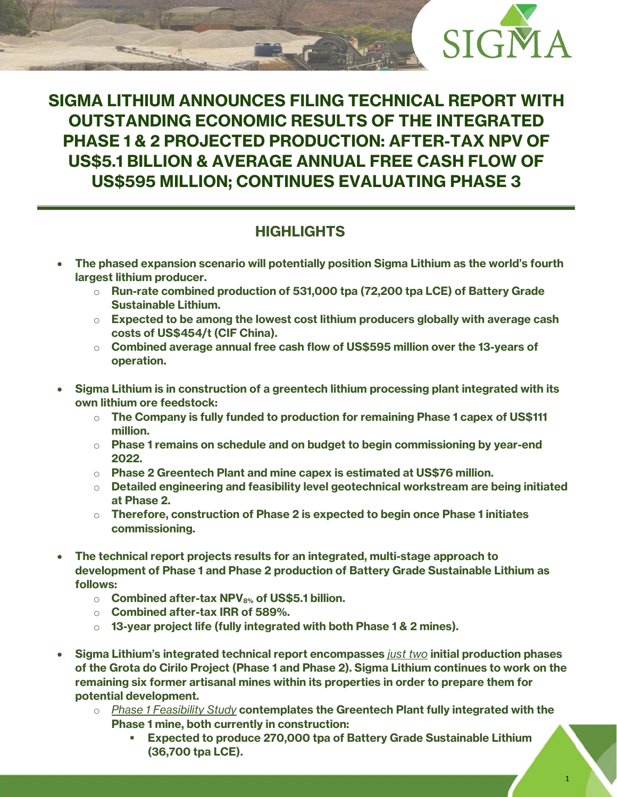

# **SIGMA LITHIUM ANNOUNCES FILING TECHNICAL REPORT WITH OUTSTANDING ECONOMIC RESULTS OF THE INTEGRATED PHASE 1 & 2 PROJECTED PRODUCTION: AFTER-TAX NPV OF US\$5.1 BILLION & AVERAGE ANNUAL FREE CASH FLOW OF US\$595 MILLION; CONTINUES EVALUATING PHASE 3**

# **HIGHLIGHTS**

- **The phased expansion scenario will potentially position Sigma Lithium as the world's fourth largest lithium producer.**
	- o **Run-rate combined production of 531,000 tpa (72,200 tpa LCE) of Battery Grade Sustainable Lithium.**
	- o **Expected to be among the lowest cost lithium producers globally with average cash costs of US\$454/t (CIF China).**
	- o **Combined average annual free cash flow of US\$595 million over the 13-years of operation.**
- **Sigma Lithium is in construction of a greentech lithium processing plant integrated with its own lithium ore feedstock:** 
	- o **The Company is fully funded to production for remaining Phase 1 capex of US\$111 million.**
	- o **Phase 1 remains on schedule and on budget to begin commissioning by year-end 2022.**
	- o **Phase 2 Greentech Plant and mine capex is estimated at US\$76 million.**
	- o **Detailed engineering and feasibility level geotechnical workstream are being initiated at Phase 2.**
	- o **Therefore, construction of Phase 2 is expected to begin once Phase 1 initiates commissioning.**
- **The technical report projects results for an integrated, multi-stage approach to development of Phase 1 and Phase 2 production of Battery Grade Sustainable Lithium as follows:**
	- o **Combined after-tax NPV8% of US\$5.1 billion.**
	- o **Combined after-tax IRR of 589%.**
	- o **13-year project life (fully integrated with both Phase 1 & 2 mines).**
- **Sigma Lithium's integrated technical report encompasses** *just two* **initial production phases of the Grota do Cirilo Project (Phase 1 and Phase 2). Sigma Lithium continues to work on the remaining six former artisanal mines within its properties in order to prepare them for potential development.**
	- o *Phase 1 Feasibility Study* **contemplates the Greentech Plant fully integrated with the Phase 1 mine, both currently in construction:**
		- **Expected to produce 270,000 tpa of Battery Grade Sustainable Lithium (36,700 tpa LCE).**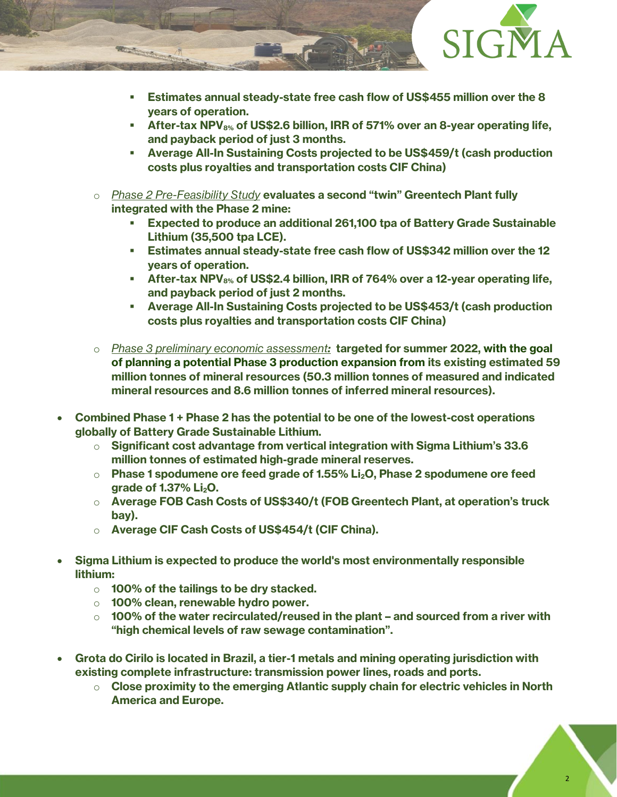

- **Estimates annual steady-state free cash flow of US\$455 million over the 8 years of operation.**
- **After-tax NPV8% of US\$2.6 billion, IRR of 571% over an 8-year operating life, and payback period of just 3 months.**
- **Average All-In Sustaining Costs projected to be US\$459/t (cash production costs plus royalties and transportation costs CIF China)**
- o *Phase 2 Pre-Feasibility Study* **evaluates a second "twin" Greentech Plant fully integrated with the Phase 2 mine:**
	- **Expected to produce an additional 261,100 tpa of Battery Grade Sustainable Lithium (35,500 tpa LCE).**
	- **Estimates annual steady-state free cash flow of US\$342 million over the 12 years of operation.**
	- **After-tax NPV8% of US\$2.4 billion, IRR of 764% over a 12-year operating life, and payback period of just 2 months.**
	- **Average All-In Sustaining Costs projected to be US\$453/t (cash production costs plus royalties and transportation costs CIF China)**
- o *Phase 3 preliminary economic assessment:* **targeted for summer 2022, with the goal of planning a potential Phase 3 production expansion from its existing estimated 59 million tonnes of mineral resources (50.3 million tonnes of measured and indicated mineral resources and 8.6 million tonnes of inferred mineral resources).**
- **Combined Phase 1 + Phase 2 has the potential to be one of the lowest-cost operations globally of Battery Grade Sustainable Lithium.**
	- o **Significant cost advantage from vertical integration with Sigma Lithium's 33.6 million tonnes of estimated high-grade mineral reserves.**
	- o **Phase 1 spodumene ore feed grade of 1.55% Li2O, Phase 2 spodumene ore feed grade of 1.37% Li2O.**
	- o **Average FOB Cash Costs of US\$340/t (FOB Greentech Plant, at operation's truck bay).**
	- o **Average CIF Cash Costs of US\$454/t (CIF China).**
- **Sigma Lithium is expected to produce the world's most environmentally responsible lithium:**
	- o **100% of the tailings to be dry stacked.**
	- o **100% clean, renewable hydro power.**
	- o **100% of the water recirculated/reused in the plant – and sourced from a river with "high chemical levels of raw sewage contamination".**
- **Grota do Cirilo is located in Brazil, a tier-1 metals and mining operating jurisdiction with existing complete infrastructure: transmission power lines, roads and ports.**
	- o **Close proximity to the emerging Atlantic supply chain for electric vehicles in North America and Europe.**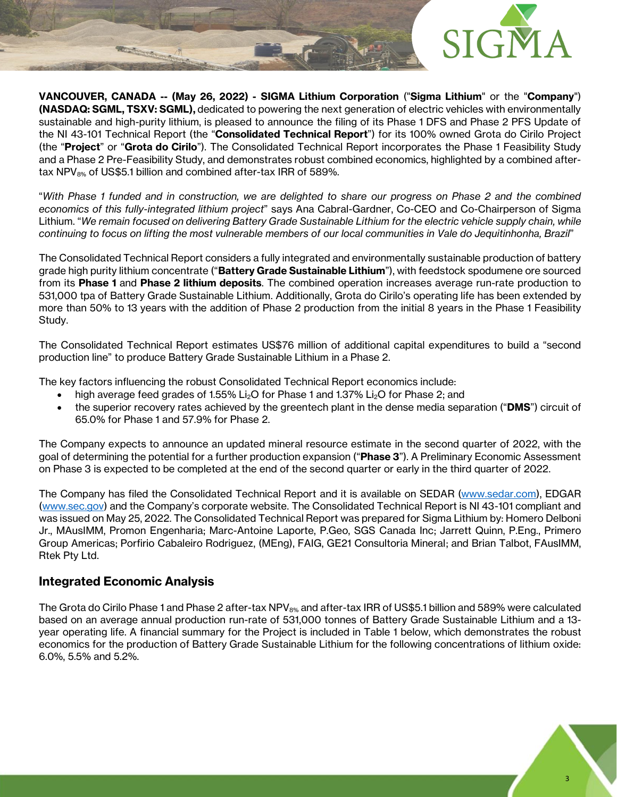

**VANCOUVER, CANADA -- (May 26, 2022) - SIGMA Lithium Corporation** ("**Sigma Lithium**" or the "**Company**") **(NASDAQ: SGML, TSXV: SGML),** dedicated to powering the next generation of electric vehicles with environmentally sustainable and high-purity lithium, is pleased to announce the filing of its Phase 1 DFS and Phase 2 PFS Update of the NI 43-101 Technical Report (the "**Consolidated Technical Report**") for its 100% owned Grota do Cirilo Project (the "**Project**" or "**Grota do Cirilo**"). The Consolidated Technical Report incorporates the Phase 1 Feasibility Study and a Phase 2 Pre-Feasibility Study, and demonstrates robust combined economics, highlighted by a combined aftertax NPV $_{8\%}$  of US\$5.1 billion and combined after-tax IRR of 589%.

"*With Phase 1 funded and in construction, we are delighted to share our progress on Phase 2 and the combined economics of this fully-integrated lithium project*" says Ana Cabral-Gardner, Co-CEO and Co-Chairperson of Sigma Lithium. "*We remain focused on delivering Battery Grade Sustainable Lithium for the electric vehicle supply chain, while continuing to focus on lifting the most vulnerable members of our local communities in Vale do Jequitinhonha, Brazil*"

The Consolidated Technical Report considers a fully integrated and environmentally sustainable production of battery grade high purity lithium concentrate ("**Battery Grade Sustainable Lithium**"), with feedstock spodumene ore sourced from its **Phase 1** and **Phase 2 lithium deposits**. The combined operation increases average run-rate production to 531,000 tpa of Battery Grade Sustainable Lithium. Additionally, Grota do Cirilo's operating life has been extended by more than 50% to 13 years with the addition of Phase 2 production from the initial 8 years in the Phase 1 Feasibility Study.

The Consolidated Technical Report estimates US\$76 million of additional capital expenditures to build a "second production line" to produce Battery Grade Sustainable Lithium in a Phase 2.

The key factors influencing the robust Consolidated Technical Report economics include:

- high average feed grades of 1.55% Li<sub>2</sub>O for Phase 1 and 1.37% Li<sub>2</sub>O for Phase 2; and
- the superior recovery rates achieved by the greentech plant in the dense media separation ("**DMS**") circuit of 65.0% for Phase 1 and 57.9% for Phase 2.

The Company expects to announce an updated mineral resource estimate in the second quarter of 2022, with the goal of determining the potential for a further production expansion ("**Phase 3**"). A Preliminary Economic Assessment on Phase 3 is expected to be completed at the end of the second quarter or early in the third quarter of 2022.

The Company has filed the Consolidated Technical Report and it is available on SEDAR [\(www.sedar.com\)](http://www.sedar.com/), EDGAR [\(www.sec.gov\)](http://www.sec.gov/) and the Company's corporate website. The Consolidated Technical Report is NI 43-101 compliant and was issued on May 25, 2022. The Consolidated Technical Report was prepared for Sigma Lithium by: Homero Delboni Jr., MAusIMM, Promon Engenharia; Marc-Antoine Laporte, P.Geo, SGS Canada Inc; Jarrett Quinn, P.Eng., Primero Group Americas; Porfirio Cabaleiro Rodriguez, (MEng), FAIG, GE21 Consultoria Mineral; and Brian Talbot, FAusIMM, Rtek Pty Ltd.

## **Integrated Economic Analysis**

The Grota do Cirilo Phase 1 and Phase 2 after-tax NPV8% and after-tax IRR of US\$5.1 billion and 589% were calculated based on an average annual production run-rate of 531,000 tonnes of Battery Grade Sustainable Lithium and a 13 year operating life. A financial summary for the Project is included in Table 1 below, which demonstrates the robust economics for the production of Battery Grade Sustainable Lithium for the following concentrations of lithium oxide: 6.0%, 5.5% and 5.2%.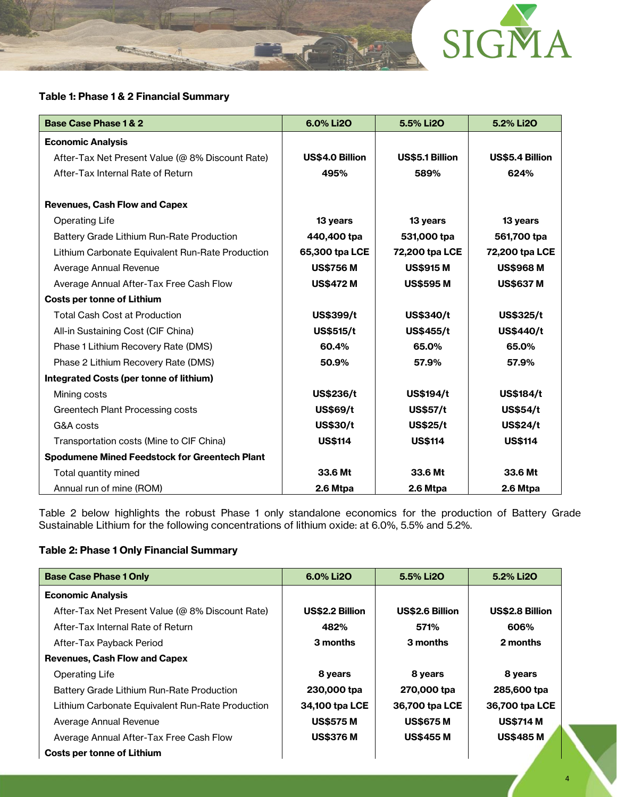

### **Table 1: Phase 1 & 2 Financial Summary**

| <b>Base Case Phase 1 &amp; 2</b>                     | 6.0% Li2O        | 5.5% Li2O        | 5.2% Li2O        |
|------------------------------------------------------|------------------|------------------|------------------|
| <b>Economic Analysis</b>                             |                  |                  |                  |
| After-Tax Net Present Value (@ 8% Discount Rate)     | US\$4.0 Billion  | US\$5.1 Billion  | US\$5.4 Billion  |
| After-Tax Internal Rate of Return                    | 495%             | 589%             | 624%             |
| <b>Revenues, Cash Flow and Capex</b>                 |                  |                  |                  |
| <b>Operating Life</b>                                | 13 years         | 13 years         | 13 years         |
| Battery Grade Lithium Run-Rate Production            | 440,400 tpa      | 531,000 tpa      | 561,700 tpa      |
| Lithium Carbonate Equivalent Run-Rate Production     | 65,300 tpa LCE   | 72,200 tpa LCE   | 72,200 tpa LCE   |
| Average Annual Revenue                               | <b>US\$756 M</b> | <b>US\$915 M</b> | <b>US\$968 M</b> |
| Average Annual After-Tax Free Cash Flow              | <b>US\$472 M</b> | <b>US\$595 M</b> | <b>US\$637 M</b> |
| <b>Costs per tonne of Lithium</b>                    |                  |                  |                  |
| <b>Total Cash Cost at Production</b>                 | US\$399/t        | US\$340/t        | US\$325/t        |
| All-in Sustaining Cost (CIF China)                   | <b>US\$515/t</b> | <b>US\$455/t</b> | US\$440/t        |
| Phase 1 Lithium Recovery Rate (DMS)                  | 60.4%            | 65.0%            | 65.0%            |
| Phase 2 Lithium Recovery Rate (DMS)                  | 50.9%            | 57.9%            | 57.9%            |
| Integrated Costs (per tonne of lithium)              |                  |                  |                  |
| Mining costs                                         | US\$236/t        | <b>US\$194/t</b> | <b>US\$184/t</b> |
| Greentech Plant Processing costs                     | <b>US\$69/t</b>  | <b>US\$57/t</b>  | <b>US\$54/t</b>  |
| G&A costs                                            | <b>US\$30/t</b>  | <b>US\$25/t</b>  | <b>US\$24/t</b>  |
| Transportation costs (Mine to CIF China)             | <b>US\$114</b>   | <b>US\$114</b>   | <b>US\$114</b>   |
| <b>Spodumene Mined Feedstock for Greentech Plant</b> |                  |                  |                  |
| Total quantity mined                                 | 33.6 Mt          | 33.6 Mt          | 33.6 Mt          |
| Annual run of mine (ROM)                             | 2.6 Mtpa         | 2.6 Mtpa         | 2.6 Mtpa         |

Table 2 below highlights the robust Phase 1 only standalone economics for the production of Battery Grade Sustainable Lithium for the following concentrations of lithium oxide: at 6.0%, 5.5% and 5.2%.

### **Table 2: Phase 1 Only Financial Summary**

| <b>Base Case Phase 1 Only</b>                    | 6.0% Li2O              | 5.5% Li2O              | 5.2% Li2O              |
|--------------------------------------------------|------------------------|------------------------|------------------------|
| <b>Economic Analysis</b>                         |                        |                        |                        |
| After-Tax Net Present Value (@ 8% Discount Rate) | <b>US\$2.2 Billion</b> | <b>US\$2.6 Billion</b> | <b>US\$2.8 Billion</b> |
| After-Tax Internal Rate of Return                | 482%                   | 571%                   | 606%                   |
| After-Tax Payback Period                         | 3 months               | 3 months               | 2 months               |
| <b>Revenues, Cash Flow and Capex</b>             |                        |                        |                        |
| <b>Operating Life</b>                            | 8 years                | 8 years                | 8 years                |
| Battery Grade Lithium Run-Rate Production        | 230,000 tpa            | 270,000 tpa            | 285,600 tpa            |
| Lithium Carbonate Equivalent Run-Rate Production | 34,100 tpa LCE         | 36,700 tpa LCE         | 36,700 tpa LCE         |
| Average Annual Revenue                           | <b>US\$575 M</b>       | <b>US\$675 M</b>       | <b>US\$714 M</b>       |
| Average Annual After-Tax Free Cash Flow          | <b>US\$376 M</b>       | <b>US\$455 M</b>       | <b>US\$485 M</b>       |
| Costs per tonne of Lithium                       |                        |                        |                        |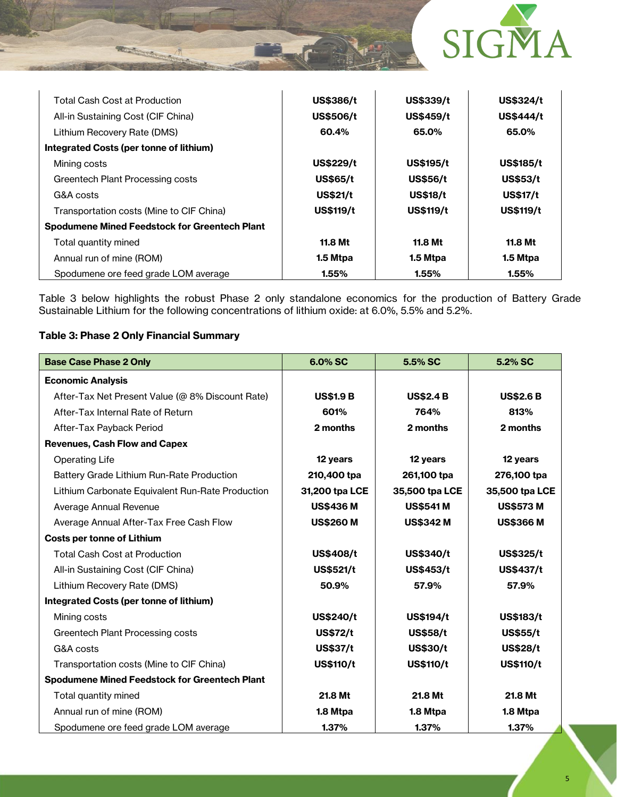

| <b>Total Cash Cost at Production</b>                 | US\$386/t        | US\$339/t        | <b>US\$324/t</b> |
|------------------------------------------------------|------------------|------------------|------------------|
| All-in Sustaining Cost (CIF China)                   | <b>US\$506/t</b> | <b>US\$459/t</b> | <b>US\$444/t</b> |
| Lithium Recovery Rate (DMS)                          | 60.4%            | 65.0%            | 65.0%            |
| Integrated Costs (per tonne of lithium)              |                  |                  |                  |
| Mining costs                                         | <b>US\$229/t</b> | <b>US\$195/t</b> | <b>US\$185/t</b> |
| Greentech Plant Processing costs                     | <b>US\$65/t</b>  | <b>US\$56/t</b>  | <b>US\$53/t</b>  |
| G&A costs                                            | <b>US\$21/t</b>  | <b>US\$18/t</b>  | <b>US\$17/t</b>  |
| Transportation costs (Mine to CIF China)             | <b>US\$119/t</b> | <b>US\$119/t</b> | <b>US\$119/t</b> |
| <b>Spodumene Mined Feedstock for Greentech Plant</b> |                  |                  |                  |
| Total quantity mined                                 | 11.8 Mt          | 11.8 Mt          | 11.8 Mt          |
| Annual run of mine (ROM)                             | 1.5 Mtpa         | 1.5 Mtpa         | 1.5 Mtpa         |
| Spodumene ore feed grade LOM average                 | 1.55%            | 1.55%            | 1.55%            |

Table 3 below highlights the robust Phase 2 only standalone economics for the production of Battery Grade Sustainable Lithium for the following concentrations of lithium oxide: at 6.0%, 5.5% and 5.2%.

### **Table 3: Phase 2 Only Financial Summary**

| <b>Base Case Phase 2 Only</b>                        | 6.0% SC          | 5.5% SC          | 5.2% SC          |
|------------------------------------------------------|------------------|------------------|------------------|
| <b>Economic Analysis</b>                             |                  |                  |                  |
| After-Tax Net Present Value (@ 8% Discount Rate)     | <b>US\$1.9 B</b> | <b>US\$2.4 B</b> | <b>US\$2.6 B</b> |
| After-Tax Internal Rate of Return                    | 601%             | 764%             | 813%             |
| After-Tax Payback Period                             | 2 months         | 2 months         | 2 months         |
| <b>Revenues, Cash Flow and Capex</b>                 |                  |                  |                  |
| <b>Operating Life</b>                                | 12 years         | 12 years         | 12 years         |
| Battery Grade Lithium Run-Rate Production            | 210,400 tpa      | 261,100 tpa      | 276,100 tpa      |
| Lithium Carbonate Equivalent Run-Rate Production     | 31,200 tpa LCE   | 35,500 tpa LCE   | 35,500 tpa LCE   |
| Average Annual Revenue                               | <b>US\$436 M</b> | <b>US\$541M</b>  | <b>US\$573 M</b> |
| Average Annual After-Tax Free Cash Flow              | <b>US\$260 M</b> | <b>US\$342 M</b> | <b>US\$366 M</b> |
| <b>Costs per tonne of Lithium</b>                    |                  |                  |                  |
| <b>Total Cash Cost at Production</b>                 | <b>US\$408/t</b> | US\$340/t        | <b>US\$325/t</b> |
| All-in Sustaining Cost (CIF China)                   | <b>US\$521/t</b> | <b>US\$453/t</b> | US\$437/t        |
| Lithium Recovery Rate (DMS)                          | 50.9%            | 57.9%            | 57.9%            |
| Integrated Costs (per tonne of lithium)              |                  |                  |                  |
| Mining costs                                         | <b>US\$240/t</b> | US\$194/t        | <b>US\$183/t</b> |
| Greentech Plant Processing costs                     | <b>US\$72/t</b>  | <b>US\$58/t</b>  | <b>US\$55/t</b>  |
| G&A costs                                            | <b>US\$37/t</b>  | <b>US\$30/t</b>  | <b>US\$28/t</b>  |
| Transportation costs (Mine to CIF China)             | <b>US\$110/t</b> | <b>US\$110/t</b> | <b>US\$110/t</b> |
| <b>Spodumene Mined Feedstock for Greentech Plant</b> |                  |                  |                  |
| Total quantity mined                                 | 21.8 Mt          | 21.8 Mt          | 21.8 Mt          |
| Annual run of mine (ROM)                             | 1.8 Mtpa         | 1.8 Mtpa         | 1.8 Mtpa         |
| Spodumene ore feed grade LOM average                 | 1.37%            | 1.37%            | 1.37%            |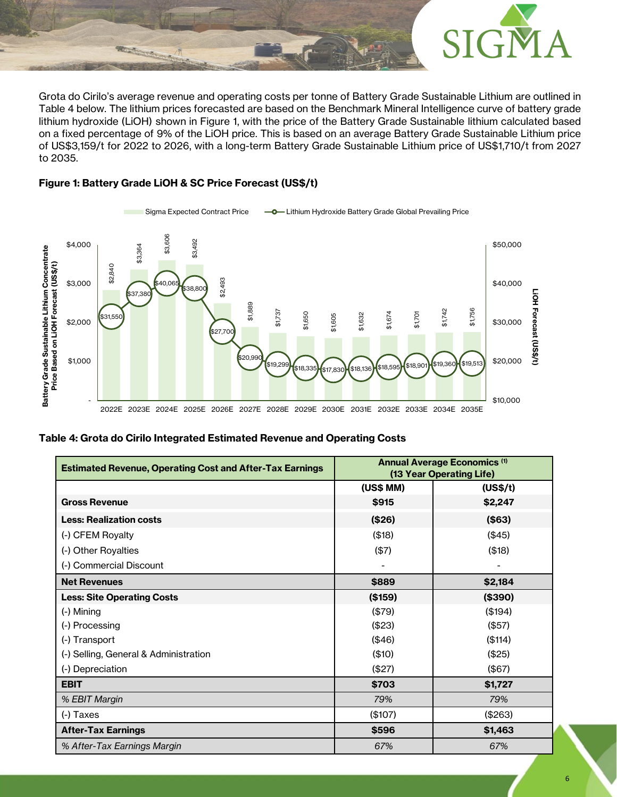

Grota do Cirilo's average revenue and operating costs per tonne of Battery Grade Sustainable Lithium are outlined in Table 4 below. The lithium prices forecasted are based on the Benchmark Mineral Intelligence curve of battery grade lithium hydroxide (LiOH) shown in Figure 1, with the price of the Battery Grade Sustainable lithium calculated based on a fixed percentage of 9% of the LiOH price. This is based on an average Battery Grade Sustainable Lithium price of US\$3,159/t for 2022 to 2026, with a long-term Battery Grade Sustainable Lithium price of US\$1,710/t from 2027 to 2035.

### **Figure 1: Battery Grade LiOH & SC Price Forecast (US\$/t)**



Sigma Expected Contract Price  $\longrightarrow$  Lithium Hydroxide Battery Grade Global Prevailing Price

### **Table 4: Grota do Cirilo Integrated Estimated Revenue and Operating Costs**

| \$3,606<br>\$3,492<br>\$4,000<br>\$3,364                                            |                                                                                                                     | \$50,000                                                        |
|-------------------------------------------------------------------------------------|---------------------------------------------------------------------------------------------------------------------|-----------------------------------------------------------------|
| \$2,840<br>\$2,493<br>\$40,065<br>\$3,000<br>\$38,800<br>\$37,380                   |                                                                                                                     | \$40,000                                                        |
| \$1,889<br>\$1,737<br>\$1,650<br>\$31,550<br>\$2,000<br>\$27,700                    | \$1,674<br>\$1,701<br>\$1,632<br>\$1,605                                                                            | LIOH Forecast (US\$/t)<br>\$1,756<br>\$1,742<br>\$30,000        |
| \$20,990<br>\$1,000<br>\$19,299<br>\$18,335                                         | \$18,901<br>$\left( \textcolor{red}{\$18,136} \right) \!\!\!\!\left( \textcolor{red}{\$18,595} \right)$<br>\$17,830 | \$20,000<br>\$19,513<br>\$19,360                                |
| 2022E 2023E 2024E 2025E 2026E 2027E 2028E 2029E 2030E 2031E 2032E 2033E 2034E 2035E |                                                                                                                     | \$10,000                                                        |
| ble 4: Grota do Cirilo Integrated Estimated Revenue and Operating Costs             |                                                                                                                     |                                                                 |
| <b>Estimated Revenue, Operating Cost and After-Tax Earnings</b>                     |                                                                                                                     | <b>Annual Average Economics (1)</b><br>(13 Year Operating Life) |
|                                                                                     | (US\$ MM)                                                                                                           | (US\$/t)                                                        |
|                                                                                     |                                                                                                                     |                                                                 |
| <b>Gross Revenue</b>                                                                | \$915                                                                                                               | \$2,247                                                         |
| <b>Less: Realization costs</b>                                                      | (\$26)                                                                                                              | (\$63)                                                          |
| (-) CFEM Royalty                                                                    | (\$18)                                                                                                              | (\$45)                                                          |
| (-) Other Royalties                                                                 | (\$7)                                                                                                               | (\$18)                                                          |
| (-) Commercial Discount                                                             |                                                                                                                     |                                                                 |
| <b>Net Revenues</b>                                                                 | \$889                                                                                                               | \$2,184                                                         |
| <b>Less: Site Operating Costs</b>                                                   | (\$159)                                                                                                             | (\$390)                                                         |
| (-) Mining                                                                          | (\$79)                                                                                                              | (\$194)                                                         |
| (-) Processing                                                                      | (\$23)                                                                                                              | (\$57)                                                          |
| (-) Transport                                                                       | (\$46)                                                                                                              | (\$114)                                                         |
| (-) Selling, General & Administration                                               | (\$10)                                                                                                              | (\$25)                                                          |
| (-) Depreciation                                                                    | (\$27)                                                                                                              | (\$67)                                                          |
| <b>EBIT</b>                                                                         | \$703                                                                                                               | \$1,727                                                         |
| % EBIT Margin                                                                       | 79%                                                                                                                 | 79%                                                             |
| (-) Taxes                                                                           | (\$107)                                                                                                             | (\$263)                                                         |
| <b>After-Tax Earnings</b>                                                           | \$596                                                                                                               | \$1,463                                                         |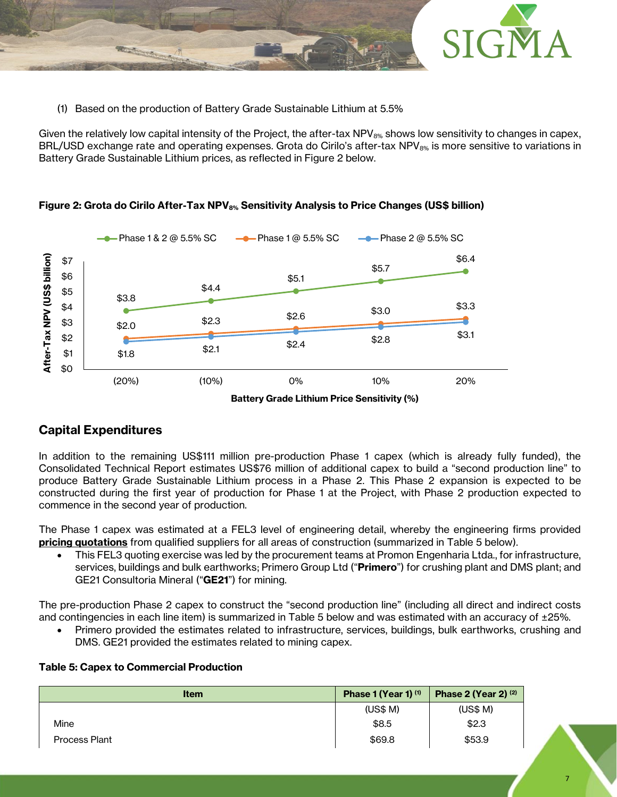

(1) Based on the production of Battery Grade Sustainable Lithium at 5.5%

Given the relatively low capital intensity of the Project, the after-tax NPV $_{8\%}$  shows low sensitivity to changes in capex, BRL/USD exchange rate and operating expenses. Grota do Cirilo's after-tax NPV $_{8\%}$  is more sensitive to variations in Battery Grade Sustainable Lithium prices, as reflected in Figure 2 below.



## **Figure 2: Grota do Cirilo After-Tax NPV8% Sensitivity Analysis to Price Changes (US\$ billion)**

## **Capital Expenditures**

In addition to the remaining US\$111 million pre-production Phase 1 capex (which is already fully funded), the Consolidated Technical Report estimates US\$76 million of additional capex to build a "second production line" to produce Battery Grade Sustainable Lithium process in a Phase 2. This Phase 2 expansion is expected to be constructed during the first year of production for Phase 1 at the Project, with Phase 2 production expected to commence in the second year of production.

The Phase 1 capex was estimated at a FEL3 level of engineering detail, whereby the engineering firms provided **pricing quotations** from qualified suppliers for all areas of construction (summarized in Table 5 below).

• This FEL3 quoting exercise was led by the procurement teams at Promon Engenharia Ltda., for infrastructure, services, buildings and bulk earthworks; Primero Group Ltd ("**Primero**") for crushing plant and DMS plant; and GE21 Consultoria Mineral ("**GE21**") for mining.

The pre-production Phase 2 capex to construct the "second production line" (including all direct and indirect costs and contingencies in each line item) is summarized in Table 5 below and was estimated with an accuracy of ±25%.

• Primero provided the estimates related to infrastructure, services, buildings, bulk earthworks, crushing and DMS. GE21 provided the estimates related to mining capex.

### **Table 5: Capex to Commercial Production**

| <b>Item</b>          | Phase 1 (Year 1) (1) | Phase 2 (Year 2) $(2)$ |
|----------------------|----------------------|------------------------|
|                      | (US\$M)              | (US\$M)                |
| Mine                 | \$8.5                | \$2.3                  |
| <b>Process Plant</b> | \$69.8               | \$53.9                 |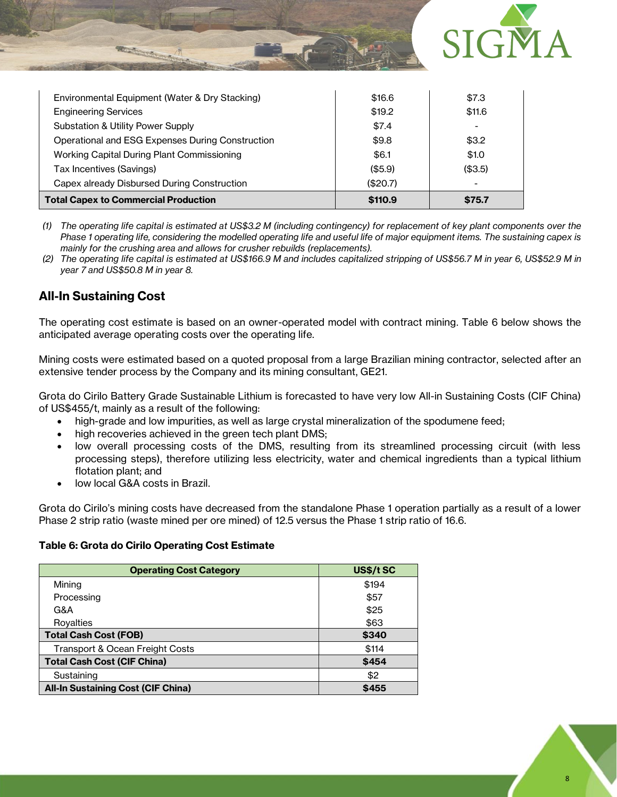

| <b>Total Capex to Commercial Production</b>      | \$110.9  | \$75.7  |
|--------------------------------------------------|----------|---------|
| Capex already Disbursed During Construction      | (\$20.7) |         |
| Tax Incentives (Savings)                         | (\$5.9)  | (\$3.5) |
| Working Capital During Plant Commissioning       | \$6.1    | \$1.0   |
| Operational and ESG Expenses During Construction | \$9.8    | \$3.2   |
| <b>Substation &amp; Utility Power Supply</b>     | \$7.4    |         |
| <b>Engineering Services</b>                      | \$19.2   | \$11.6  |
| Environmental Equipment (Water & Dry Stacking)   | \$16.6   | \$7.3   |
|                                                  |          |         |

*(1) The operating life capital is estimated at US\$3.2 M (including contingency) for replacement of key plant components over the Phase 1 operating life, considering the modelled operating life and useful life of major equipment items. The sustaining capex is mainly for the crushing area and allows for crusher rebuilds (replacements).*

*(2) The operating life capital is estimated at US\$166.9 M and includes capitalized stripping of US\$56.7 M in year 6, US\$52.9 M in year 7 and US\$50.8 M in year 8.*

## **All-In Sustaining Cost**

The operating cost estimate is based on an owner-operated model with contract mining. Table 6 below shows the anticipated average operating costs over the operating life.

Mining costs were estimated based on a quoted proposal from a large Brazilian mining contractor, selected after an extensive tender process by the Company and its mining consultant, GE21.

Grota do Cirilo Battery Grade Sustainable Lithium is forecasted to have very low All-in Sustaining Costs (CIF China) of US\$455/t, mainly as a result of the following:

- high-grade and low impurities, as well as large crystal mineralization of the spodumene feed;
- high recoveries achieved in the green tech plant DMS;
- low overall processing costs of the DMS, resulting from its streamlined processing circuit (with less processing steps), therefore utilizing less electricity, water and chemical ingredients than a typical lithium flotation plant; and
- low local G&A costs in Brazil.

Grota do Cirilo's mining costs have decreased from the standalone Phase 1 operation partially as a result of a lower Phase 2 strip ratio (waste mined per ore mined) of 12.5 versus the Phase 1 strip ratio of 16.6.

## **Table 6: Grota do Cirilo Operating Cost Estimate**

| <b>Operating Cost Category</b>            | US\$/t SC |
|-------------------------------------------|-----------|
| Mining                                    | \$194     |
| Processing                                | \$57      |
| G&A                                       | \$25      |
| Royalties                                 | \$63      |
| <b>Total Cash Cost (FOB)</b>              | \$340     |
| Transport & Ocean Freight Costs           | \$114     |
| <b>Total Cash Cost (CIF China)</b>        | \$454     |
| Sustaining                                | \$2       |
| <b>All-In Sustaining Cost (CIF China)</b> | \$455     |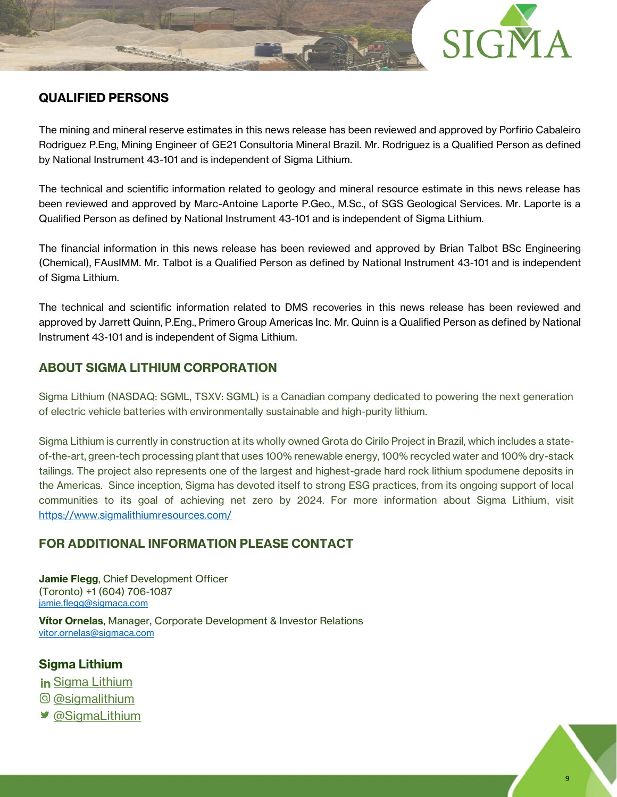

# **QUALIFIED PERSONS**

The mining and mineral reserve estimates in this news release has been reviewed and approved by Porfirio Cabaleiro Rodriguez P.Eng, Mining Engineer of GE21 Consultoria Mineral Brazil. Mr. Rodriguez is a Qualified Person as defined by National Instrument 43-101 and is independent of Sigma Lithium.

The technical and scientific information related to geology and mineral resource estimate in this news release has been reviewed and approved by Marc-Antoine Laporte P.Geo., M.Sc., of SGS Geological Services. Mr. Laporte is a Qualified Person as defined by National Instrument 43-101 and is independent of Sigma Lithium.

The financial information in this news release has been reviewed and approved by Brian Talbot BSc Engineering (Chemical), FAusIMM. Mr. Talbot is a Qualified Person as defined by National Instrument 43-101 and is independent of Sigma Lithium.

The technical and scientific information related to DMS recoveries in this news release has been reviewed and approved by Jarrett Quinn, P.Eng., Primero Group Americas Inc. Mr. Quinn is a Qualified Person as defined by National Instrument 43-101 and is independent of Sigma Lithium.

## **ABOUT SIGMA LITHIUM CORPORATION**

Sigma Lithium (NASDAQ: SGML, TSXV: SGML) is a Canadian company dedicated to powering the next generation of electric vehicle batteries with environmentally sustainable and high-purity lithium.

Sigma Lithium is currently in construction at its wholly owned Grota do Cirilo Project in Brazil, which includes a stateof-the-art, green-tech processing plant that uses 100% renewable energy, 100% recycled water and 100% dry-stack tailings. The project also represents one of the largest and highest-grade hard rock lithium spodumene deposits in the Americas. Since inception, Sigma has devoted itself to strong ESG practices, from its ongoing support of local communities to its goal of achieving net zero by 2024. For more information about Sigma Lithium, visit <https://www.sigmalithiumresources.com/>

## **FOR ADDITIONAL INFORMATION PLEASE CONTACT**

**Jamie Flegg**, Chief Development Officer (Toronto) +1 (604) 706-1087 [jamie.flegg@sigmaca.com](mailto:jamie.flegg@sigmaca.com)

**Vítor Ornelas**, Manager, Corporate Development & Investor Relations [vitor.ornelas@sigmaca.com](mailto:vitor.ornelas@sigmaca.com)

## **Sigma Lithium**

in [Sigma Lithium](https://www.linkedin.com/company/sigma-lithium-resources)

- [@sigmalithium](https://www.instagram.com/sigmalithium/)
- [@SigmaLithium](https://twitter.com/SigmaLithium)